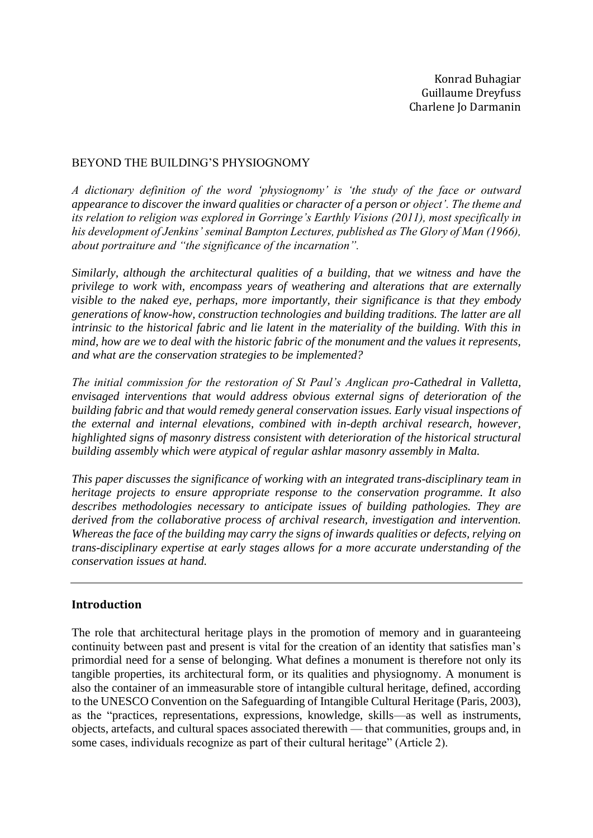Konrad Buhagiar Guillaume Dreyfuss Charlene Jo Darmanin

#### BEYOND THE BUILDING'S PHYSIOGNOMY

*A dictionary definition of the word 'physiognomy' is 'the study of the face or outward appearance to discover the inward qualities or character of a person or object'. The theme and its relation to religion was explored in Gorringe's Earthly Visions (2011), most specifically in his development of Jenkins' seminal Bampton Lectures, published as The Glory of Man (1966), about portraiture and "the significance of the incarnation".*

*Similarly, although the architectural qualities of a building, that we witness and have the privilege to work with, encompass years of weathering and alterations that are externally visible to the naked eye, perhaps, more importantly, their significance is that they embody generations of know-how, construction technologies and building traditions. The latter are all intrinsic to the historical fabric and lie latent in the materiality of the building. With this in mind, how are we to deal with the historic fabric of the monument and the values it represents, and what are the conservation strategies to be implemented?*

*The initial commission for the restoration of St Paul's Anglican pro-Cathedral in Valletta, envisaged interventions that would address obvious external signs of deterioration of the building fabric and that would remedy general conservation issues. Early visual inspections of the external and internal elevations, combined with in-depth archival research, however, highlighted signs of masonry distress consistent with deterioration of the historical structural building assembly which were atypical of regular ashlar masonry assembly in Malta.*

*This paper discusses the significance of working with an integrated trans-disciplinary team in heritage projects to ensure appropriate response to the conservation programme. It also describes methodologies necessary to anticipate issues of building pathologies. They are derived from the collaborative process of archival research, investigation and intervention. Whereas the face of the building may carry the signs of inwards qualities or defects, relying on trans-disciplinary expertise at early stages allows for a more accurate understanding of the conservation issues at hand.*

## **Introduction**

The role that architectural heritage plays in the promotion of memory and in guaranteeing continuity between past and present is vital for the creation of an identity that satisfies man's primordial need for a sense of belonging. What defines a monument is therefore not only its tangible properties, its architectural form, or its qualities and physiognomy. A monument is also the container of an immeasurable store of intangible cultural heritage, defined, according to the UNESCO Convention on the Safeguarding of Intangible Cultural Heritage (Paris, 2003), as the "practices, representations, expressions, knowledge, skills—as well as instruments, objects, artefacts, and cultural spaces associated therewith — that communities, groups and, in some cases, individuals recognize as part of their cultural heritage" (Article 2).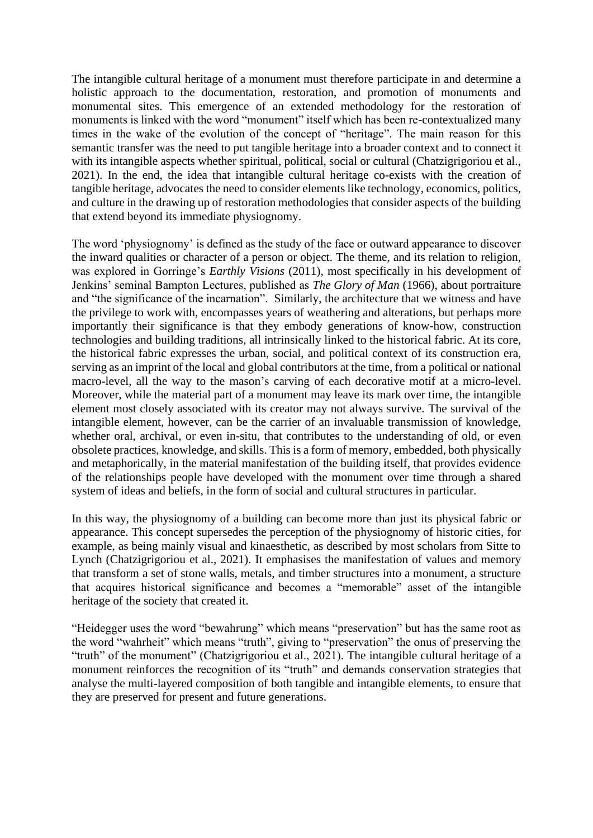The intangible cultural heritage of a monument must therefore participate in and determine a holistic approach to the documentation, restoration, and promotion of monuments and monumental sites. This emergence of an extended methodology for the restoration of monuments is linked with the word "monument" itself which has been re-contextualized many times in the wake of the evolution of the concept of "heritage". The main reason for this semantic transfer was the need to put tangible heritage into a broader context and to connect it with its intangible aspects whether spiritual, political, social or cultural (Chatzigrigoriou et al., 2021). In the end, the idea that intangible cultural heritage co-exists with the creation of tangible heritage, advocates the need to consider elements like technology, economics, politics, and culture in the drawing up of restoration methodologies that consider aspects of the building that extend beyond its immediate physiognomy.

The word 'physiognomy' is defined as the study of the face or outward appearance to discover the inward qualities or character of a person or object. The theme, and its relation to religion, was explored in Gorringe's *Earthly Visions* (2011), most specifically in his development of Jenkins' seminal Bampton Lectures, published as *The Glory of Man* (1966), about portraiture and "the significance of the incarnation". Similarly, the architecture that we witness and have the privilege to work with, encompasses years of weathering and alterations, but perhaps more importantly their significance is that they embody generations of know-how, construction technologies and building traditions, all intrinsically linked to the historical fabric. At its core, the historical fabric expresses the urban, social, and political context of its construction era, serving as an imprint of the local and global contributors at the time, from a political or national macro-level, all the way to the mason's carving of each decorative motif at a micro-level. Moreover, while the material part of a monument may leave its mark over time, the intangible element most closely associated with its creator may not always survive. The survival of the intangible element, however, can be the carrier of an invaluable transmission of knowledge, whether oral, archival, or even in-situ, that contributes to the understanding of old, or even obsolete practices, knowledge, and skills. This is a form of memory, embedded, both physically and metaphorically, in the material manifestation of the building itself, that provides evidence of the relationships people have developed with the monument over time through a shared system of ideas and beliefs, in the form of social and cultural structures in particular.

In this way, the physiognomy of a building can become more than just its physical fabric or appearance. This concept supersedes the perception of the physiognomy of historic cities, for example, as being mainly visual and kinaesthetic, as described by most scholars from Sitte to Lynch (Chatzigrigoriou et al., 2021). It emphasises the manifestation of values and memory that transform a set of stone walls, metals, and timber structures into a monument, a structure that acquires historical significance and becomes a "memorable" asset of the intangible heritage of the society that created it.

"Heidegger uses the word "bewahrung" which means "preservation" but has the same root as the word "wahrheit" which means "truth", giving to "preservation" the onus of preserving the "truth" of the monument" (Chatzigrigoriou et al., 2021). The intangible cultural heritage of a monument reinforces the recognition of its "truth" and demands conservation strategies that analyse the multi-layered composition of both tangible and intangible elements, to ensure that they are preserved for present and future generations.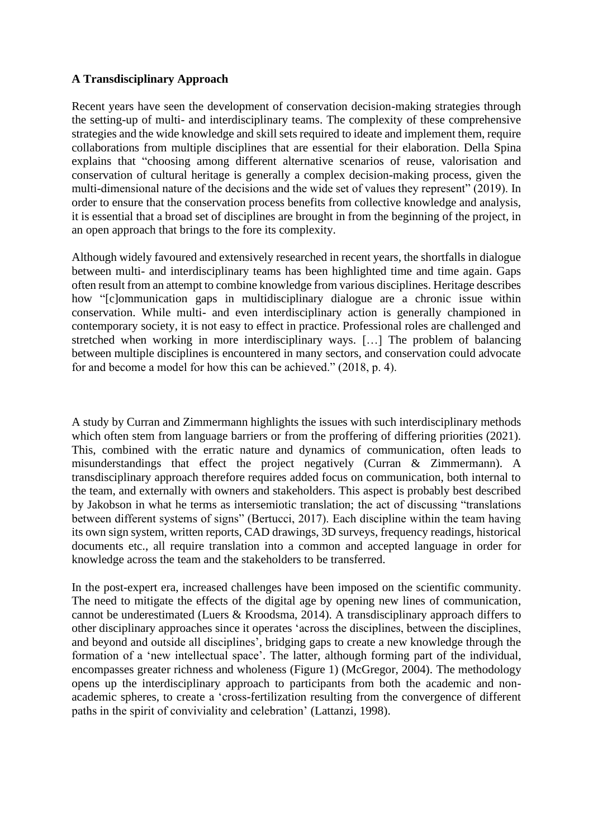### **A Transdisciplinary Approach**

Recent years have seen the development of conservation decision-making strategies through the setting-up of multi- and interdisciplinary teams. The complexity of these comprehensive strategies and the wide knowledge and skill sets required to ideate and implement them, require collaborations from multiple disciplines that are essential for their elaboration. Della Spina explains that "choosing among different alternative scenarios of reuse, valorisation and conservation of cultural heritage is generally a complex decision-making process, given the multi-dimensional nature of the decisions and the wide set of values they represent" (2019). In order to ensure that the conservation process benefits from collective knowledge and analysis, it is essential that a broad set of disciplines are brought in from the beginning of the project, in an open approach that brings to the fore its complexity.

Although widely favoured and extensively researched in recent years, the shortfalls in dialogue between multi- and interdisciplinary teams has been highlighted time and time again. Gaps often result from an attempt to combine knowledge from various disciplines. Heritage describes how "[c]ommunication gaps in multidisciplinary dialogue are a chronic issue within conservation. While multi- and even interdisciplinary action is generally championed in contemporary society, it is not easy to effect in practice. Professional roles are challenged and stretched when working in more interdisciplinary ways. […] The problem of balancing between multiple disciplines is encountered in many sectors, and conservation could advocate for and become a model for how this can be achieved." (2018, p. 4).

A study by Curran and Zimmermann highlights the issues with such interdisciplinary methods which often stem from language barriers or from the proffering of differing priorities (2021). This, combined with the erratic nature and dynamics of communication, often leads to misunderstandings that effect the project negatively (Curran & Zimmermann). A transdisciplinary approach therefore requires added focus on communication, both internal to the team, and externally with owners and stakeholders. This aspect is probably best described by Jakobson in what he terms as intersemiotic translation; the act of discussing "translations between different systems of signs" (Bertucci, 2017). Each discipline within the team having its own sign system, written reports, CAD drawings, 3D surveys, frequency readings, historical documents etc., all require translation into a common and accepted language in order for knowledge across the team and the stakeholders to be transferred.

In the post-expert era, increased challenges have been imposed on the scientific community. The need to mitigate the effects of the digital age by opening new lines of communication, cannot be underestimated (Luers & Kroodsma, 2014). A transdisciplinary approach differs to other disciplinary approaches since it operates 'across the disciplines, between the disciplines, and beyond and outside all disciplines', bridging gaps to create a new knowledge through the formation of a 'new intellectual space'. The latter, although forming part of the individual, encompasses greater richness and wholeness (Figure 1) (McGregor, 2004). The methodology opens up the interdisciplinary approach to participants from both the academic and nonacademic spheres, to create a 'cross-fertilization resulting from the convergence of different paths in the spirit of conviviality and celebration' (Lattanzi, 1998).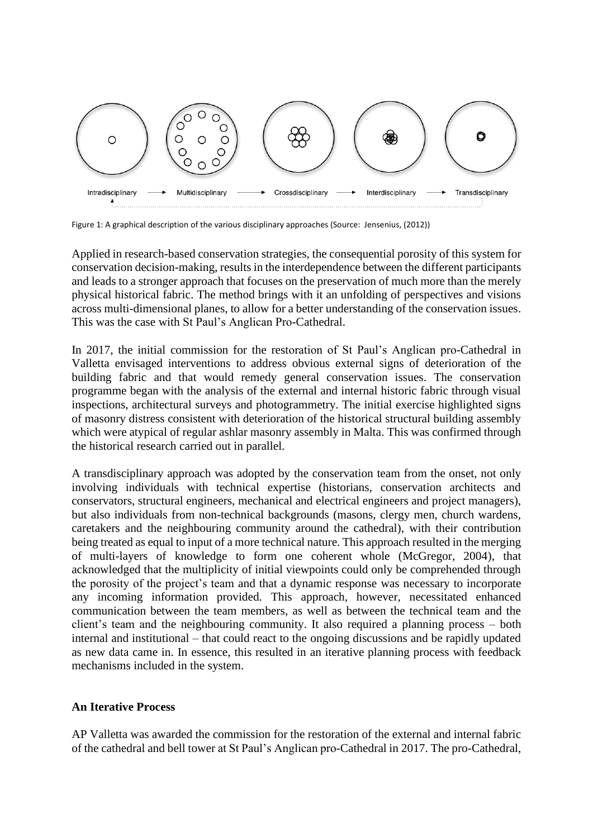

Figure 1: A graphical description of the various disciplinary approaches (Source: Jensenius, (2012))

Applied in research-based conservation strategies, the consequential porosity of this system for conservation decision-making, results in the interdependence between the different participants and leads to a stronger approach that focuses on the preservation of much more than the merely physical historical fabric. The method brings with it an unfolding of perspectives and visions across multi-dimensional planes, to allow for a better understanding of the conservation issues. This was the case with St Paul's Anglican Pro-Cathedral.

In 2017, the initial commission for the restoration of St Paul's Anglican pro-Cathedral in Valletta envisaged interventions to address obvious external signs of deterioration of the building fabric and that would remedy general conservation issues. The conservation programme began with the analysis of the external and internal historic fabric through visual inspections, architectural surveys and photogrammetry. The initial exercise highlighted signs of masonry distress consistent with deterioration of the historical structural building assembly which were atypical of regular ashlar masonry assembly in Malta. This was confirmed through the historical research carried out in parallel.

A transdisciplinary approach was adopted by the conservation team from the onset, not only involving individuals with technical expertise (historians, conservation architects and conservators, structural engineers, mechanical and electrical engineers and project managers), but also individuals from non-technical backgrounds (masons, clergy men, church wardens, caretakers and the neighbouring community around the cathedral), with their contribution being treated as equal to input of a more technical nature. This approach resulted in the merging of multi-layers of knowledge to form one coherent whole (McGregor, 2004), that acknowledged that the multiplicity of initial viewpoints could only be comprehended through the porosity of the project's team and that a dynamic response was necessary to incorporate any incoming information provided. This approach, however, necessitated enhanced communication between the team members, as well as between the technical team and the client's team and the neighbouring community. It also required a planning process – both internal and institutional – that could react to the ongoing discussions and be rapidly updated as new data came in. In essence, this resulted in an iterative planning process with feedback mechanisms included in the system.

#### **An Iterative Process**

AP Valletta was awarded the commission for the restoration of the external and internal fabric of the cathedral and bell tower at St Paul's Anglican pro-Cathedral in 2017. The pro-Cathedral,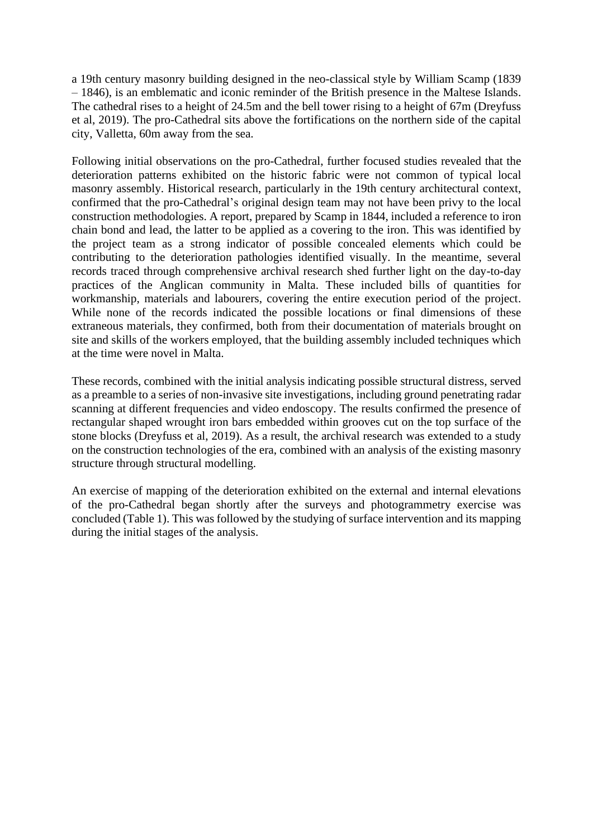a 19th century masonry building designed in the neo-classical style by William Scamp (1839 – 1846), is an emblematic and iconic reminder of the British presence in the Maltese Islands. The cathedral rises to a height of 24.5m and the bell tower rising to a height of 67m (Dreyfuss et al, 2019). The pro-Cathedral sits above the fortifications on the northern side of the capital city, Valletta, 60m away from the sea.

Following initial observations on the pro-Cathedral, further focused studies revealed that the deterioration patterns exhibited on the historic fabric were not common of typical local masonry assembly. Historical research, particularly in the 19th century architectural context, confirmed that the pro-Cathedral's original design team may not have been privy to the local construction methodologies. A report, prepared by Scamp in 1844, included a reference to iron chain bond and lead, the latter to be applied as a covering to the iron. This was identified by the project team as a strong indicator of possible concealed elements which could be contributing to the deterioration pathologies identified visually. In the meantime, several records traced through comprehensive archival research shed further light on the day-to-day practices of the Anglican community in Malta. These included bills of quantities for workmanship, materials and labourers, covering the entire execution period of the project. While none of the records indicated the possible locations or final dimensions of these extraneous materials, they confirmed, both from their documentation of materials brought on site and skills of the workers employed, that the building assembly included techniques which at the time were novel in Malta.

These records, combined with the initial analysis indicating possible structural distress, served as a preamble to a series of non-invasive site investigations, including ground penetrating radar scanning at different frequencies and video endoscopy. The results confirmed the presence of rectangular shaped wrought iron bars embedded within grooves cut on the top surface of the stone blocks (Dreyfuss et al, 2019). As a result, the archival research was extended to a study on the construction technologies of the era, combined with an analysis of the existing masonry structure through structural modelling.

An exercise of mapping of the deterioration exhibited on the external and internal elevations of the pro-Cathedral began shortly after the surveys and photogrammetry exercise was concluded (Table 1). This was followed by the studying of surface intervention and its mapping during the initial stages of the analysis.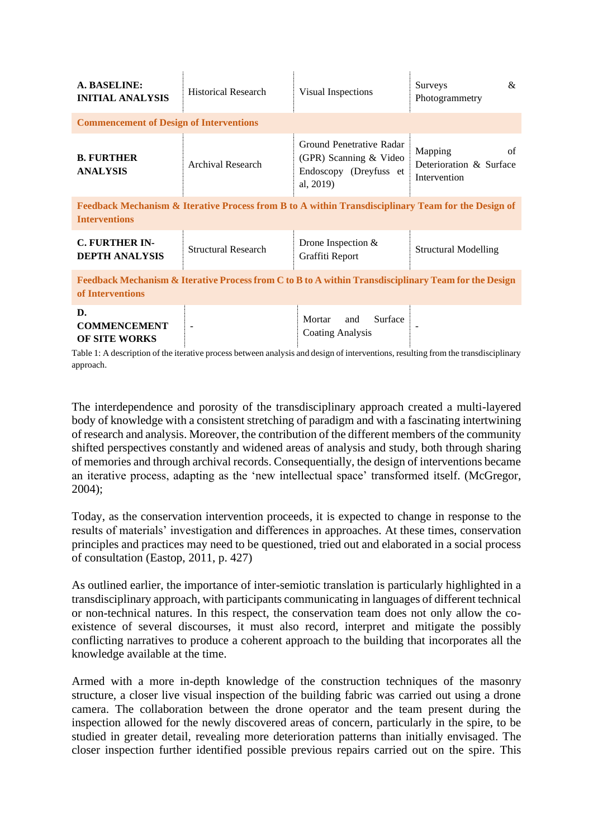| A. BASELINE:<br><b>INITIAL ANALYSIS</b>                                                                                    | <b>Historical Research</b> | Visual Inspections                                                                        | &<br>Surveys<br>Photogrammetry                           |  |
|----------------------------------------------------------------------------------------------------------------------------|----------------------------|-------------------------------------------------------------------------------------------|----------------------------------------------------------|--|
| <b>Commencement of Design of Interventions</b>                                                                             |                            |                                                                                           |                                                          |  |
| <b>B. FURTHER</b><br><b>ANALYSIS</b>                                                                                       | Archival Research          | Ground Penetrative Radar<br>(GPR) Scanning & Video<br>Endoscopy (Dreyfuss et<br>al, 2019) | Mapping<br>of<br>Deterioration & Surface<br>Intervention |  |
| Feedback Mechanism & Iterative Process from B to A within Transdisciplinary Team for the Design of<br><b>Interventions</b> |                            |                                                                                           |                                                          |  |
| <b>C. FURTHER IN-</b><br><b>DEPTH ANALYSIS</b>                                                                             | <b>Structural Research</b> | Drone Inspection $&$<br>Graffiti Report                                                   | <b>Structural Modelling</b>                              |  |
| Feedback Mechanism & Iterative Process from C to B to A within Transdisciplinary Team for the Design<br>of Interventions   |                            |                                                                                           |                                                          |  |

| <b>COMMENCEMENT</b>  | $\overline{\phantom{a}}$ | and Surface<br>Mortar   |  |
|----------------------|--------------------------|-------------------------|--|
| <b>OF SITE WORKS</b> |                          | <b>Coating Analysis</b> |  |

Table 1: A description of the iterative process between analysis and design of interventions, resulting from the transdisciplinary approach.

The interdependence and porosity of the transdisciplinary approach created a multi-layered body of knowledge with a consistent stretching of paradigm and with a fascinating intertwining of research and analysis. Moreover, the contribution of the different members of the community shifted perspectives constantly and widened areas of analysis and study, both through sharing of memories and through archival records. Consequentially, the design of interventions became an iterative process, adapting as the 'new intellectual space' transformed itself. (McGregor, 2004);

Today, as the conservation intervention proceeds, it is expected to change in response to the results of materials' investigation and differences in approaches. At these times, conservation principles and practices may need to be questioned, tried out and elaborated in a social process of consultation (Eastop, 2011, p. 427)

As outlined earlier, the importance of inter-semiotic translation is particularly highlighted in a transdisciplinary approach, with participants communicating in languages of different technical or non-technical natures. In this respect, the conservation team does not only allow the coexistence of several discourses, it must also record, interpret and mitigate the possibly conflicting narratives to produce a coherent approach to the building that incorporates all the knowledge available at the time.

Armed with a more in-depth knowledge of the construction techniques of the masonry structure, a closer live visual inspection of the building fabric was carried out using a drone camera. The collaboration between the drone operator and the team present during the inspection allowed for the newly discovered areas of concern, particularly in the spire, to be studied in greater detail, revealing more deterioration patterns than initially envisaged. The closer inspection further identified possible previous repairs carried out on the spire. This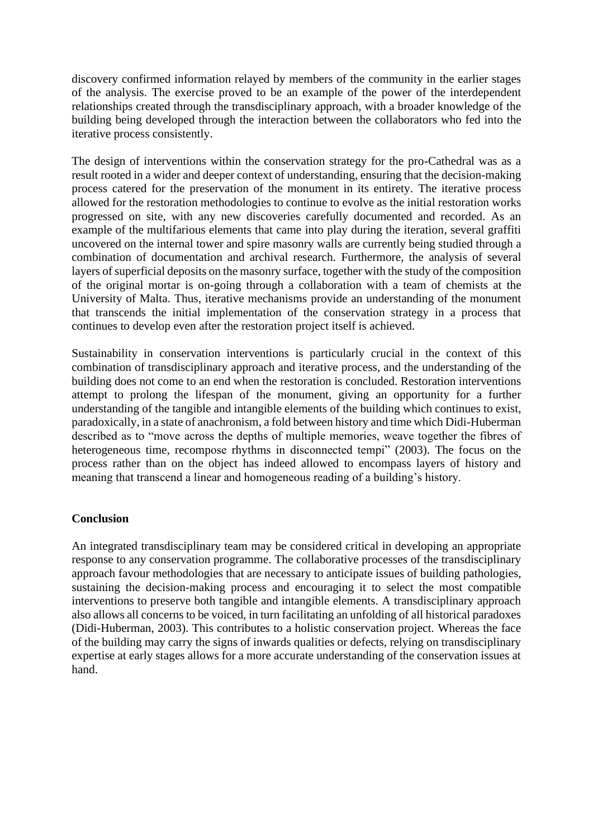discovery confirmed information relayed by members of the community in the earlier stages of the analysis. The exercise proved to be an example of the power of the interdependent relationships created through the transdisciplinary approach, with a broader knowledge of the building being developed through the interaction between the collaborators who fed into the iterative process consistently.

The design of interventions within the conservation strategy for the pro-Cathedral was as a result rooted in a wider and deeper context of understanding, ensuring that the decision-making process catered for the preservation of the monument in its entirety. The iterative process allowed for the restoration methodologies to continue to evolve as the initial restoration works progressed on site, with any new discoveries carefully documented and recorded. As an example of the multifarious elements that came into play during the iteration, several graffiti uncovered on the internal tower and spire masonry walls are currently being studied through a combination of documentation and archival research. Furthermore, the analysis of several layers of superficial deposits on the masonry surface, together with the study of the composition of the original mortar is on-going through a collaboration with a team of chemists at the University of Malta. Thus, iterative mechanisms provide an understanding of the monument that transcends the initial implementation of the conservation strategy in a process that continues to develop even after the restoration project itself is achieved.

Sustainability in conservation interventions is particularly crucial in the context of this combination of transdisciplinary approach and iterative process, and the understanding of the building does not come to an end when the restoration is concluded. Restoration interventions attempt to prolong the lifespan of the monument, giving an opportunity for a further understanding of the tangible and intangible elements of the building which continues to exist, paradoxically, in a state of anachronism, a fold between history and time which Didi-Huberman described as to "move across the depths of multiple memories, weave together the fibres of heterogeneous time, recompose rhythms in disconnected tempi" (2003). The focus on the process rather than on the object has indeed allowed to encompass layers of history and meaning that transcend a linear and homogeneous reading of a building's history.

## **Conclusion**

An integrated transdisciplinary team may be considered critical in developing an appropriate response to any conservation programme. The collaborative processes of the transdisciplinary approach favour methodologies that are necessary to anticipate issues of building pathologies, sustaining the decision-making process and encouraging it to select the most compatible interventions to preserve both tangible and intangible elements. A transdisciplinary approach also allows all concerns to be voiced, in turn facilitating an unfolding of all historical paradoxes (Didi-Huberman, 2003). This contributes to a holistic conservation project. Whereas the face of the building may carry the signs of inwards qualities or defects, relying on transdisciplinary expertise at early stages allows for a more accurate understanding of the conservation issues at hand.